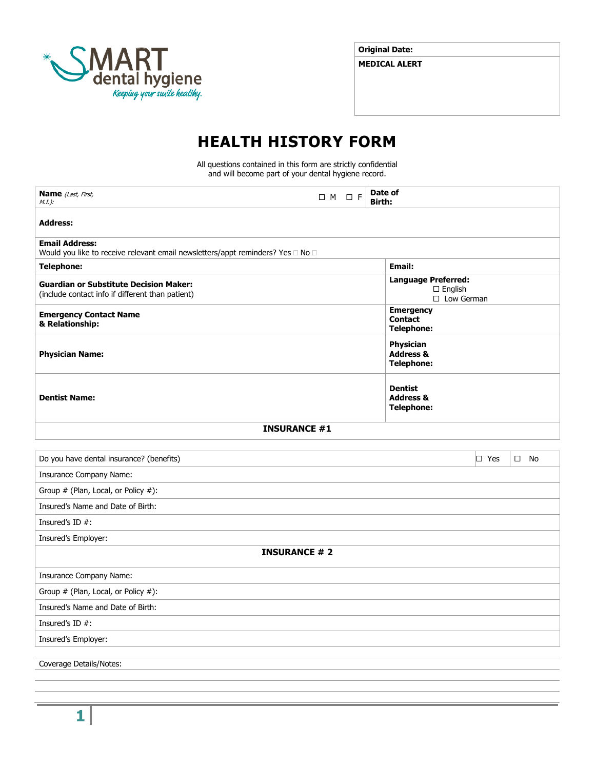

**Original Date:**

**MEDICAL ALERT**

# **HEALTH HISTORY FORM**

All questions contained in this form are strictly confidential and will become part of your dental hygiene record.

| <b>Name</b> (Last, First,<br>$M.I.$ ):                                                                             | $\Box M \quad \Box F$ | Date of<br><b>Birth:</b>                                          |
|--------------------------------------------------------------------------------------------------------------------|-----------------------|-------------------------------------------------------------------|
| <b>Address:</b>                                                                                                    |                       |                                                                   |
| <b>Email Address:</b><br>Would you like to receive relevant email newsletters/appt reminders? Yes $\Box$ No $\Box$ |                       |                                                                   |
| <b>Telephone:</b>                                                                                                  |                       | <b>Email:</b>                                                     |
| <b>Guardian or Substitute Decision Maker:</b><br>(include contact info if different than patient)                  |                       | <b>Language Preferred:</b><br>$\Box$ English<br>$\Box$ Low German |
| <b>Emergency Contact Name</b><br>& Relationship:                                                                   |                       | <b>Emergency</b><br><b>Contact</b><br><b>Telephone:</b>           |
| <b>Physician Name:</b>                                                                                             |                       | Physician<br><b>Address &amp;</b><br><b>Telephone:</b>            |
| <b>Dentist Name:</b>                                                                                               |                       | <b>Dentist</b><br><b>Address &amp;</b><br><b>Telephone:</b>       |
| <b>INSURANCE #1</b>                                                                                                |                       |                                                                   |
| Do you have dental insurance? (benefits)                                                                           |                       | $\Box$ Yes<br>$\square$ No                                        |
| Insurance Company Name:                                                                                            |                       |                                                                   |
| Group # (Plan, Local, or Policy #):                                                                                |                       |                                                                   |
| Insured's Name and Date of Birth:                                                                                  |                       |                                                                   |
| Insured's ID $#$ :                                                                                                 |                       |                                                                   |
| Insured's Employer:                                                                                                |                       |                                                                   |
| <b>INSURANCE #2</b>                                                                                                |                       |                                                                   |
| Insurance Company Name:                                                                                            |                       |                                                                   |
| Group # (Plan, Local, or Policy #):                                                                                |                       |                                                                   |
| Insured's Name and Date of Birth:                                                                                  |                       |                                                                   |
| Insured's ID #:                                                                                                    |                       |                                                                   |
| Insured's Employer:                                                                                                |                       |                                                                   |
| Coverage Details/Notes:                                                                                            |                       |                                                                   |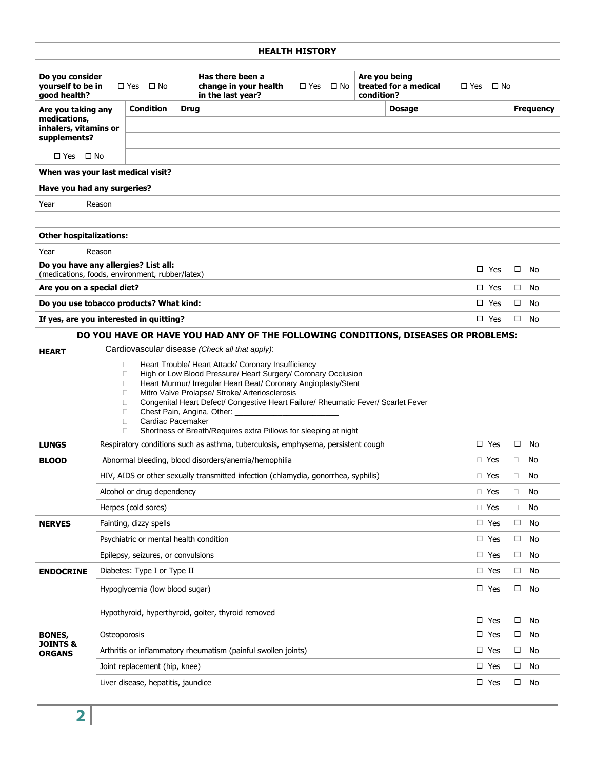| <b>HEALTH HISTORY</b>                                                                                                                                                                                                                                                                                                                                                                                                                                                                                                                |                                                                                                                   |                                                 |                                                                                    |                         |                                                      |                                |                         |
|--------------------------------------------------------------------------------------------------------------------------------------------------------------------------------------------------------------------------------------------------------------------------------------------------------------------------------------------------------------------------------------------------------------------------------------------------------------------------------------------------------------------------------------|-------------------------------------------------------------------------------------------------------------------|-------------------------------------------------|------------------------------------------------------------------------------------|-------------------------|------------------------------------------------------|--------------------------------|-------------------------|
| Do you consider<br>yourself to be in<br>good health?                                                                                                                                                                                                                                                                                                                                                                                                                                                                                 |                                                                                                                   | $\Box$ Yes<br>$\Box$ No                         | Has there been a<br>change in your health<br>in the last year?                     | $\Box$ Yes<br>$\Box$ No | Are you being<br>treated for a medical<br>condition? | $\Box$ Yes $\Box$ No           |                         |
| Are you taking any                                                                                                                                                                                                                                                                                                                                                                                                                                                                                                                   |                                                                                                                   | <b>Condition</b><br><b>Drug</b>                 |                                                                                    |                         | <b>Dosage</b>                                        |                                | <b>Frequency</b>        |
| medications,<br>inhalers, vitamins or                                                                                                                                                                                                                                                                                                                                                                                                                                                                                                |                                                                                                                   |                                                 |                                                                                    |                         |                                                      |                                |                         |
| supplements?                                                                                                                                                                                                                                                                                                                                                                                                                                                                                                                         |                                                                                                                   |                                                 |                                                                                    |                         |                                                      |                                |                         |
| $\Box$ Yes $\Box$ No                                                                                                                                                                                                                                                                                                                                                                                                                                                                                                                 |                                                                                                                   |                                                 |                                                                                    |                         |                                                      |                                |                         |
| When was your last medical visit?                                                                                                                                                                                                                                                                                                                                                                                                                                                                                                    |                                                                                                                   |                                                 |                                                                                    |                         |                                                      |                                |                         |
| Have you had any surgeries?                                                                                                                                                                                                                                                                                                                                                                                                                                                                                                          |                                                                                                                   |                                                 |                                                                                    |                         |                                                      |                                |                         |
| Year                                                                                                                                                                                                                                                                                                                                                                                                                                                                                                                                 | Reason                                                                                                            |                                                 |                                                                                    |                         |                                                      |                                |                         |
|                                                                                                                                                                                                                                                                                                                                                                                                                                                                                                                                      |                                                                                                                   |                                                 |                                                                                    |                         |                                                      |                                |                         |
| <b>Other hospitalizations:</b>                                                                                                                                                                                                                                                                                                                                                                                                                                                                                                       |                                                                                                                   |                                                 |                                                                                    |                         |                                                      |                                |                         |
| Year                                                                                                                                                                                                                                                                                                                                                                                                                                                                                                                                 | Reason                                                                                                            |                                                 |                                                                                    |                         |                                                      |                                |                         |
| Do you have any allergies? List all:                                                                                                                                                                                                                                                                                                                                                                                                                                                                                                 |                                                                                                                   |                                                 |                                                                                    |                         |                                                      | $\square$ Yes                  | $\Box$<br>No.           |
| Are you on a special diet?                                                                                                                                                                                                                                                                                                                                                                                                                                                                                                           |                                                                                                                   | (medications, foods, environment, rubber/latex) |                                                                                    |                         |                                                      | $\square$ Yes                  | $\Box$<br>No            |
|                                                                                                                                                                                                                                                                                                                                                                                                                                                                                                                                      |                                                                                                                   | Do you use tobacco products? What kind:         |                                                                                    |                         |                                                      | □ Yes                          | □<br>No                 |
|                                                                                                                                                                                                                                                                                                                                                                                                                                                                                                                                      |                                                                                                                   | If yes, are you interested in quitting?         |                                                                                    |                         |                                                      | □ Yes                          | No<br>□                 |
|                                                                                                                                                                                                                                                                                                                                                                                                                                                                                                                                      |                                                                                                                   |                                                 | DO YOU HAVE OR HAVE YOU HAD ANY OF THE FOLLOWING CONDITIONS, DISEASES OR PROBLEMS: |                         |                                                      |                                |                         |
| <b>HEART</b>                                                                                                                                                                                                                                                                                                                                                                                                                                                                                                                         |                                                                                                                   |                                                 | Cardiovascular disease (Check all that apply):                                     |                         |                                                      |                                |                         |
| Heart Trouble/ Heart Attack/ Coronary Insufficiency<br>$\Box$<br>High or Low Blood Pressure/ Heart Surgery/ Coronary Occlusion<br>$\Box$<br>Heart Murmur/ Irregular Heart Beat/ Coronary Angioplasty/Stent<br>$\Box$<br>Mitro Valve Prolapse/ Stroke/ Arteriosclerosis<br>$\Box$<br>Congenital Heart Defect/ Congestive Heart Failure/ Rheumatic Fever/ Scarlet Fever<br>$\Box$<br>Chest Pain, Angina, Other:<br>$\Box$<br>Cardiac Pacemaker<br>$\Box$<br>$\Box$<br>Shortness of Breath/Requires extra Pillows for sleeping at night |                                                                                                                   |                                                 |                                                                                    |                         |                                                      |                                |                         |
| <b>LUNGS</b>                                                                                                                                                                                                                                                                                                                                                                                                                                                                                                                         | $\square$ Yes<br>Respiratory conditions such as asthma, tuberculosis, emphysema, persistent cough<br>$\Box$<br>No |                                                 |                                                                                    |                         |                                                      |                                |                         |
| <b>BLOOD</b>                                                                                                                                                                                                                                                                                                                                                                                                                                                                                                                         | □ Yes<br>No<br>Abnormal bleeding, blood disorders/anemia/hemophilia<br>Ω                                          |                                                 |                                                                                    |                         |                                                      |                                |                         |
|                                                                                                                                                                                                                                                                                                                                                                                                                                                                                                                                      | HIV, AIDS or other sexually transmitted infection (chlamydia, gonorrhea, syphilis)<br>□ Yes<br>No<br>□            |                                                 |                                                                                    |                         |                                                      |                                |                         |
|                                                                                                                                                                                                                                                                                                                                                                                                                                                                                                                                      |                                                                                                                   | Alcohol or drug dependency                      |                                                                                    |                         |                                                      | □ Yes                          | $\Box$<br>No            |
|                                                                                                                                                                                                                                                                                                                                                                                                                                                                                                                                      |                                                                                                                   | Herpes (cold sores)                             |                                                                                    |                         |                                                      | □ Yes                          | No<br>$\Box$            |
| <b>NERVES</b>                                                                                                                                                                                                                                                                                                                                                                                                                                                                                                                        | Fainting, dizzy spells                                                                                            |                                                 |                                                                                    | $\square$ Yes           | No<br>$\Box$                                         |                                |                         |
|                                                                                                                                                                                                                                                                                                                                                                                                                                                                                                                                      | Psychiatric or mental health condition<br>$\square$ Yes<br>No<br>□                                                |                                                 |                                                                                    |                         |                                                      |                                |                         |
|                                                                                                                                                                                                                                                                                                                                                                                                                                                                                                                                      | Epilepsy, seizures, or convulsions<br>$\square$ Yes<br>No<br>$\Box$                                               |                                                 |                                                                                    |                         |                                                      |                                |                         |
| <b>ENDOCRINE</b>                                                                                                                                                                                                                                                                                                                                                                                                                                                                                                                     | Diabetes: Type I or Type II<br>No<br>$\square$ Yes<br>□                                                           |                                                 |                                                                                    |                         |                                                      |                                |                         |
|                                                                                                                                                                                                                                                                                                                                                                                                                                                                                                                                      | Hypoglycemia (low blood sugar)<br>$\Box$ Yes<br>$\Box$<br>No                                                      |                                                 |                                                                                    |                         |                                                      |                                |                         |
|                                                                                                                                                                                                                                                                                                                                                                                                                                                                                                                                      | Hypothyroid, hyperthyroid, goiter, thyroid removed                                                                |                                                 |                                                                                    |                         |                                                      |                                |                         |
| <b>BONES,</b>                                                                                                                                                                                                                                                                                                                                                                                                                                                                                                                        |                                                                                                                   |                                                 |                                                                                    |                         |                                                      | $\square$ Yes<br>$\square$ Yes | □<br>No<br>No<br>$\Box$ |
| <b>JOINTS &amp;</b>                                                                                                                                                                                                                                                                                                                                                                                                                                                                                                                  | Osteoporosis<br>Arthritis or inflammatory rheumatism (painful swollen joints)<br>$\square$ Yes                    |                                                 |                                                                                    |                         | $\Box$<br>No                                         |                                |                         |
| <b>ORGANS</b>                                                                                                                                                                                                                                                                                                                                                                                                                                                                                                                        | $\square$ Yes<br>Joint replacement (hip, knee)<br>$\Box$<br>No                                                    |                                                 |                                                                                    |                         |                                                      |                                |                         |
|                                                                                                                                                                                                                                                                                                                                                                                                                                                                                                                                      | Liver disease, hepatitis, jaundice<br>$\square$ Yes<br>No<br>$\Box$                                               |                                                 |                                                                                    |                         |                                                      |                                |                         |
|                                                                                                                                                                                                                                                                                                                                                                                                                                                                                                                                      |                                                                                                                   |                                                 |                                                                                    |                         |                                                      |                                |                         |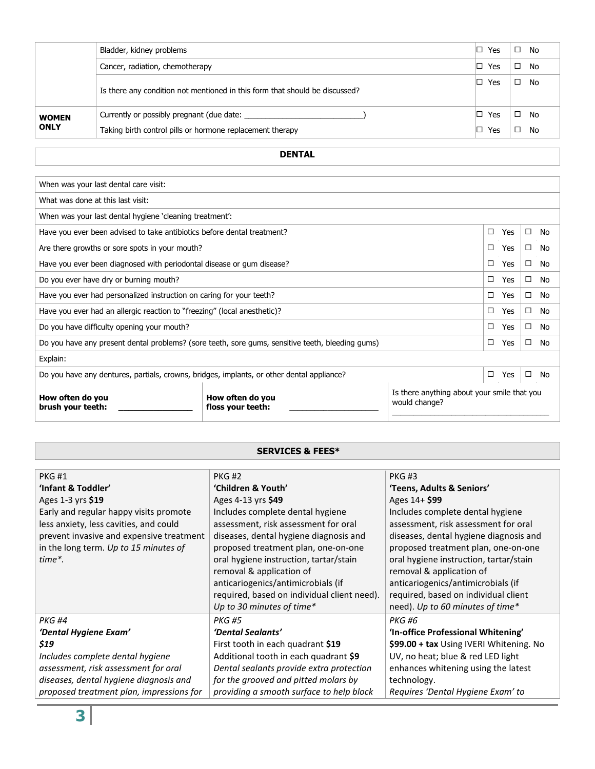|              | Bladder, kidney problems                                                    | ▯<br>Yes  | □<br>No |
|--------------|-----------------------------------------------------------------------------|-----------|---------|
|              | Cancer, radiation, chemotherapy                                             | ⊩⊡<br>Yes | No      |
|              | Is there any condition not mentioned in this form that should be discussed? | ▯<br>Yes  | No      |
| <b>WOMEN</b> | Currently or possibly pregnant (due date:                                   | IП<br>Yes | No      |
| <b>ONLY</b>  | Taking birth control pills or hormone replacement therapy                   | IП<br>Yes | No      |

## **DENTAL**

| When was your last dental care visit:                                                            |                                       |                                                              |   |            |   |    |
|--------------------------------------------------------------------------------------------------|---------------------------------------|--------------------------------------------------------------|---|------------|---|----|
| What was done at this last visit:                                                                |                                       |                                                              |   |            |   |    |
|                                                                                                  |                                       |                                                              |   |            |   |    |
| When was your last dental hygiene 'cleaning treatment':                                          |                                       |                                                              |   |            |   |    |
| Have you ever been advised to take antibiotics before dental treatment?                          |                                       |                                                              | □ | <b>Yes</b> | □ | No |
| Are there growths or sore spots in your mouth?                                                   |                                       |                                                              | □ | Yes        | □ | No |
| Have you ever been diagnosed with periodontal disease or gum disease?                            |                                       |                                                              | □ | Yes        | □ | No |
| Do you ever have dry or burning mouth?                                                           |                                       |                                                              | □ | Yes        | □ | No |
| Have you ever had personalized instruction on caring for your teeth?                             |                                       |                                                              | □ | Yes        | □ | No |
| Have you ever had an allergic reaction to "freezing" (local anesthetic)?                         |                                       |                                                              | □ | Yes        | □ | No |
| Do you have difficulty opening your mouth?                                                       |                                       |                                                              | п | Yes        | □ | No |
| Do you have any present dental problems? (sore teeth, sore gums, sensitive teeth, bleeding gums) |                                       |                                                              | □ | Yes        | □ | No |
| Explain:                                                                                         |                                       |                                                              |   |            |   |    |
| Do you have any dentures, partials, crowns, bridges, implants, or other dental appliance?        |                                       |                                                              | □ | Yes        | □ | No |
| How often do you<br>brush your teeth:                                                            | How often do you<br>floss your teeth: | Is there anything about your smile that you<br>would change? |   |            |   |    |

### **SERVICES & FEES\***

| <b>PKG#1</b>                             | <b>PKG#2</b>                                | <b>PKG#3</b>                            |
|------------------------------------------|---------------------------------------------|-----------------------------------------|
| 'Infant & Toddler'                       | 'Children & Youth'                          | 'Teens, Adults & Seniors'               |
| Ages 1-3 yrs \$19                        | Ages 4-13 yrs \$49                          | Ages 14+ \$99                           |
| Early and regular happy visits promote   | Includes complete dental hygiene            | Includes complete dental hygiene        |
| less anxiety, less cavities, and could   | assessment, risk assessment for oral        | assessment, risk assessment for oral    |
| prevent invasive and expensive treatment | diseases, dental hygiene diagnosis and      | diseases, dental hygiene diagnosis and  |
| in the long term. Up to 15 minutes of    | proposed treatment plan, one-on-one         | proposed treatment plan, one-on-one     |
| time*.                                   | oral hygiene instruction, tartar/stain      | oral hygiene instruction, tartar/stain  |
|                                          | removal & application of                    | removal & application of                |
|                                          | anticariogenics/antimicrobials (if          | anticariogenics/antimicrobials (if      |
|                                          | required, based on individual client need). | required, based on individual client    |
|                                          | Up to 30 minutes of time*                   | need). Up to 60 minutes of time*        |
| <b>PKG#4</b>                             | <b>PKG #5</b>                               | <b>PKG#6</b>                            |
| 'Dental Hygiene Exam'                    | 'Dental Sealants'                           | 'In-office Professional Whitening'      |
| \$19                                     | First tooth in each quadrant \$19           | \$99.00 + tax Using IVERI Whitening. No |
| Includes complete dental hygiene         | Additional tooth in each quadrant \$9       | UV, no heat; blue & red LED light       |
| assessment, risk assessment for oral     | Dental sealants provide extra protection    | enhances whitening using the latest     |
| diseases, dental hygiene diagnosis and   | for the grooved and pitted molars by        | technology.                             |
| proposed treatment plan, impressions for | providing a smooth surface to help block    | Requires 'Dental Hygiene Exam' to       |